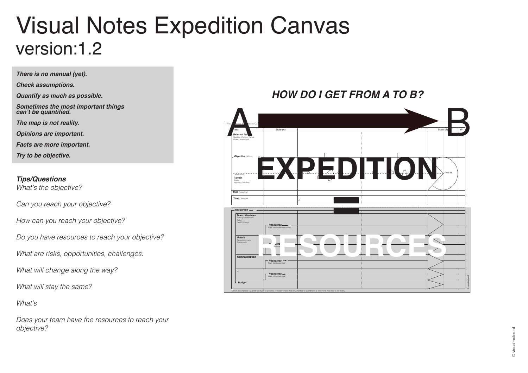## Visual Notes Expedition Canvas version:1.2

visual-notes.nl © visual-notes.nl

*There is no manual (yet).* 

*Check assumptions.* 

*Quantify as much as possible.* 

*Sometimes the most important things*  **can't be quantified.**

*The map is not reality.*

*Opinions are important.*

*Facts are more important.*

*Try to be objective.* 

## *Tips/Questions*

*What's the objective?*

*Can you reach your objective?*

*How can you reach your objective?*

*Do you have resources to reach your objective?*

*What are risks, opportunities, challenges.*

*What will change along the way?*

*What will stay the same?*

*What's* 

*Does your team have the resources to reach your objective?*

## *HOW DO I GET FROM A TO B?*